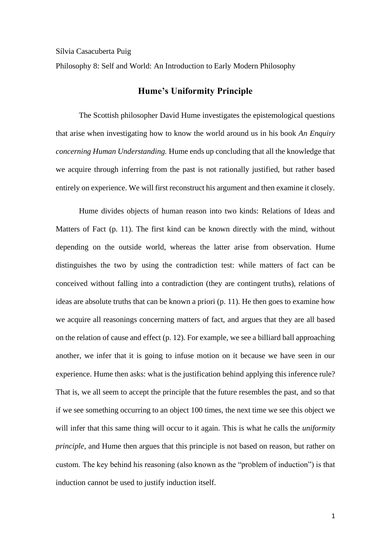Sílvia Casacuberta Puig

Philosophy 8: Self and World: An Introduction to Early Modern Philosophy

## **Hume's Uniformity Principle**

The Scottish philosopher David Hume investigates the epistemological questions that arise when investigating how to know the world around us in his book *An Enquiry concerning Human Understanding.* Hume ends up concluding that all the knowledge that we acquire through inferring from the past is not rationally justified, but rather based entirely on experience. We will first reconstruct his argument and then examine it closely.

Hume divides objects of human reason into two kinds: Relations of Ideas and Matters of Fact (p. 11). The first kind can be known directly with the mind, without depending on the outside world, whereas the latter arise from observation. Hume distinguishes the two by using the contradiction test: while matters of fact can be conceived without falling into a contradiction (they are contingent truths), relations of ideas are absolute truths that can be known a priori (p. 11). He then goes to examine how we acquire all reasonings concerning matters of fact, and argues that they are all based on the relation of cause and effect (p. 12). For example, we see a billiard ball approaching another, we infer that it is going to infuse motion on it because we have seen in our experience. Hume then asks: what is the justification behind applying this inference rule? That is, we all seem to accept the principle that the future resembles the past, and so that if we see something occurring to an object 100 times, the next time we see this object we will infer that this same thing will occur to it again. This is what he calls the *uniformity principle,* and Hume then argues that this principle is not based on reason, but rather on custom. The key behind his reasoning (also known as the "problem of induction") is that induction cannot be used to justify induction itself.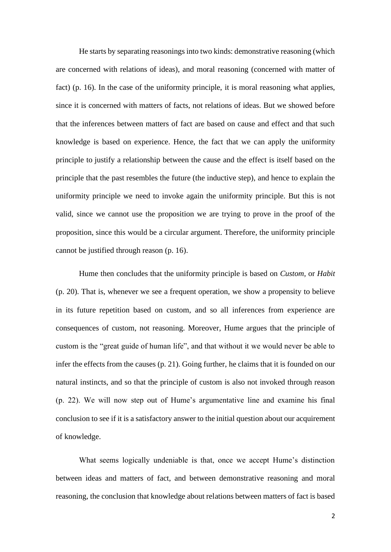He starts by separating reasonings into two kinds: demonstrative reasoning (which are concerned with relations of ideas), and moral reasoning (concerned with matter of fact) (p. 16). In the case of the uniformity principle, it is moral reasoning what applies, since it is concerned with matters of facts, not relations of ideas. But we showed before that the inferences between matters of fact are based on cause and effect and that such knowledge is based on experience. Hence, the fact that we can apply the uniformity principle to justify a relationship between the cause and the effect is itself based on the principle that the past resembles the future (the inductive step), and hence to explain the uniformity principle we need to invoke again the uniformity principle. But this is not valid, since we cannot use the proposition we are trying to prove in the proof of the proposition, since this would be a circular argument. Therefore, the uniformity principle cannot be justified through reason (p. 16).

Hume then concludes that the uniformity principle is based on *Custom,* or *Habit*  (p. 20)*.* That is, whenever we see a frequent operation, we show a propensity to believe in its future repetition based on custom, and so all inferences from experience are consequences of custom, not reasoning. Moreover, Hume argues that the principle of custom is the "great guide of human life", and that without it we would never be able to infer the effects from the causes (p. 21). Going further, he claims that it is founded on our natural instincts, and so that the principle of custom is also not invoked through reason (p. 22). We will now step out of Hume's argumentative line and examine his final conclusion to see if it is a satisfactory answer to the initial question about our acquirement of knowledge.

What seems logically undeniable is that, once we accept Hume's distinction between ideas and matters of fact, and between demonstrative reasoning and moral reasoning, the conclusion that knowledge about relations between matters of fact is based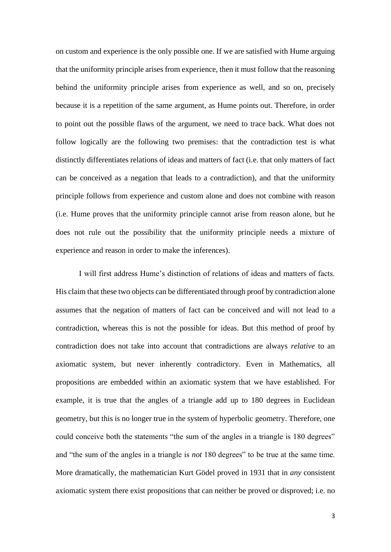on custom and experience is the only possible one. If we are satisfied with Hume arguing that the uniformity principle arises from experience, then it must follow that the reasoning behind the uniformity principle arises from experience as well, and so on, precisely because it is a repetition of the same argument, as Hume points out. Therefore, in order to point out the possible flaws of the argument, we need to trace back. What does not follow logically are the following two premises: that the contradiction test is what distinctly differentiates relations of ideas and matters of fact (i.e. that only matters of fact can be conceived as a negation that leads to a contradiction), and that the uniformity principle follows from experience and custom alone and does not combine with reason (i.e. Hume proves that the uniformity principle cannot arise from reason alone, but he does not rule out the possibility that the uniformity principle needs a mixture of experience and reason in order to make the inferences).

I will first address Hume's distinction of relations of ideas and matters of facts. His claim that these two objects can be differentiated through proof by contradiction alone assumes that the negation of matters of fact can be conceived and will not lead to a contradiction, whereas this is not the possible for ideas. But this method of proof by contradiction does not take into account that contradictions are always *relative* to an axiomatic system, but never inherently contradictory. Even in Mathematics, all propositions are embedded within an axiomatic system that we have established. For example, it is true that the angles of a triangle add up to 180 degrees in Euclidean geometry, but this is no longer true in the system of hyperbolic geometry. Therefore, one could conceive both the statements "the sum of the angles in a triangle is 180 degrees" and "the sum of the angles in a triangle is *not* 180 degrees" to be true at the same time. More dramatically, the mathematician Kurt Gödel proved in 1931 that in *any* consistent axiomatic system there exist propositions that can neither be proved or disproved; i.e. no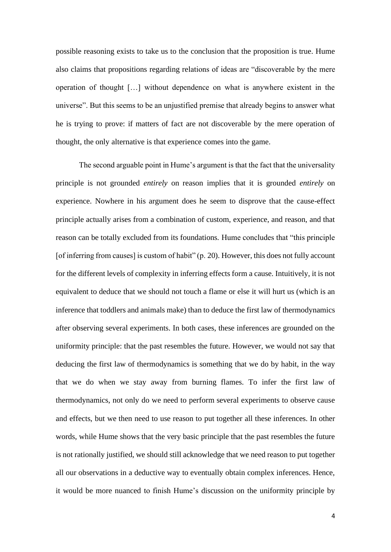possible reasoning exists to take us to the conclusion that the proposition is true. Hume also claims that propositions regarding relations of ideas are "discoverable by the mere operation of thought […] without dependence on what is anywhere existent in the universe". But this seems to be an unjustified premise that already begins to answer what he is trying to prove: if matters of fact are not discoverable by the mere operation of thought, the only alternative is that experience comes into the game.

The second arguable point in Hume's argument is that the fact that the universality principle is not grounded *entirely* on reason implies that it is grounded *entirely* on experience. Nowhere in his argument does he seem to disprove that the cause-effect principle actually arises from a combination of custom, experience, and reason, and that reason can be totally excluded from its foundations. Hume concludes that "this principle [of inferring from causes] is custom of habit" (p. 20). However, this does not fully account for the different levels of complexity in inferring effects form a cause. Intuitively, it is not equivalent to deduce that we should not touch a flame or else it will hurt us (which is an inference that toddlers and animals make) than to deduce the first law of thermodynamics after observing several experiments. In both cases, these inferences are grounded on the uniformity principle: that the past resembles the future. However, we would not say that deducing the first law of thermodynamics is something that we do by habit, in the way that we do when we stay away from burning flames. To infer the first law of thermodynamics, not only do we need to perform several experiments to observe cause and effects, but we then need to use reason to put together all these inferences. In other words, while Hume shows that the very basic principle that the past resembles the future is not rationally justified, we should still acknowledge that we need reason to put together all our observations in a deductive way to eventually obtain complex inferences. Hence, it would be more nuanced to finish Hume's discussion on the uniformity principle by